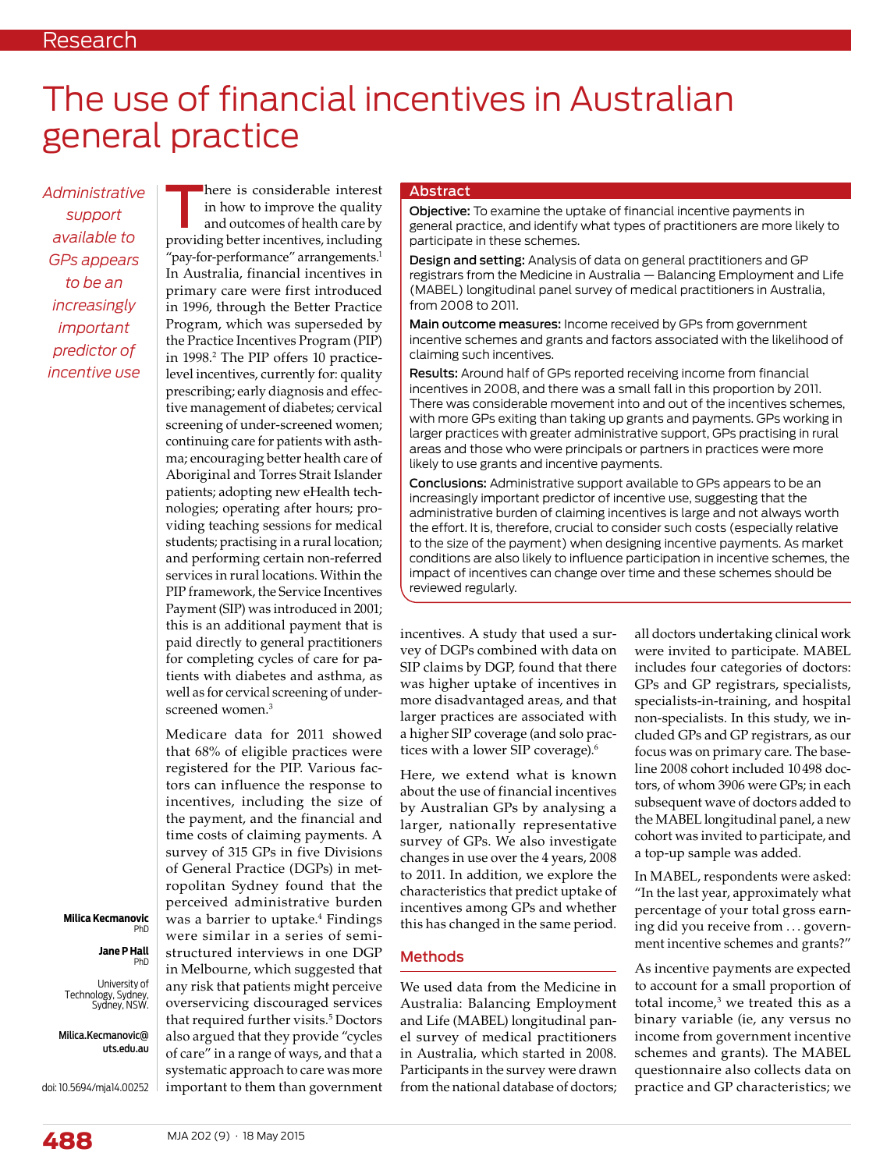# The use of financial incentives in Australian general practice

*Administrative support available to GPs appears to be an increasingly important predictor of incentive use*

here is considerable interest<br>
in how to improve the quality<br>
and outcomes of health care by<br>
providing better incentives, including in how to improve the quality and outcomes of health care by "pay-for-performance" arrangements.<sup>1</sup> In Australia, financial incentives in primary care were first introduced in 1996, through the Better Practice Program, which was superseded by the Practice Incentives Program (PIP) in 1998.2 The PIP offers 10 practicelevel incentives, currently for: quality prescribing; early diagnosis and effective management of diabetes; cervical screening of under-screened women; continuing care for patients with asthma; encouraging better health care of Aboriginal and Torres Strait Islander patients; adopting new eHealth technologies; operating after hours; providing teaching sessions for medical students; practising in a rural location; and performing certain non-referred services in rural locations. Within the PIP framework, the Service Incentives Payment (SIP) was introduced in 2001; this is an additional payment that is paid directly to general practitioners for completing cycles of care for patients with diabetes and asthma, as well as for cervical screening of underscreened women.<sup>3</sup>

Medicare data for 2011 showed that 68% of eligible practices were registered for the PIP. Various factors can influence the response to incentives, including the size of the payment, and the financial and time costs of claiming payments. A survey of 315 GPs in five Divisions of General Practice (DGPs) in metropolitan Sydney found that the perceived administrative burden was a barrier to uptake.4 Findings were similar in a series of semistructured interviews in one DGP in Melbourne, which suggested that any risk that patients might perceive overservicing discouraged services that required further visits.5 Doctors also argued that they provide "cycles of care" in a range of ways, and that a systematic approach to care was more

important to them than government

## Abstract

Objective: To examine the uptake of financial incentive payments in general practice, and identify what types of practitioners are more likely to participate in these schemes.

Design and setting: Analysis of data on general practitioners and GP registrars from the Medicine in Australia — Balancing Employment and Life (MABEL) longitudinal panel survey of medical practitioners in Australia, from 2008 to 2011.

Main outcome measures: Income received by GPs from government incentive schemes and grants and factors associated with the likelihood of claiming such incentives.

Results: Around half of GPs reported receiving income from financial incentives in 2008, and there was a small fall in this proportion by 2011. There was considerable movement into and out of the incentives schemes, with more GPs exiting than taking up grants and payments. GPs working in larger practices with greater administrative support, GPs practising in rural areas and those who were principals or partners in practices were more likely to use grants and incentive payments.

Conclusions: Administrative support available to GPs appears to be an increasingly important predictor of incentive use, suggesting that the administrative burden of claiming incentives is large and not always worth the effort. It is, therefore, crucial to consider such costs (especially relative to the size of the payment) when designing incentive payments. As market conditions are also likely to influence participation in incentive schemes, the impact of incentives can change over time and these schemes should be reviewed regularly.

incentives. A study that used a survey of DGPs combined with data on SIP claims by DGP, found that there was higher uptake of incentives in more disadvantaged areas, and that larger practices are associated with a higher SIP coverage (and solo practices with a lower SIP coverage).6

Here, we extend what is known about the use of financial incentives by Australian GPs by analysing a larger, nationally representative survey of GPs. We also investigate changes in use over the 4 years, 2008 to 2011. In addition, we explore the characteristics that predict uptake of incentives among GPs and whether this has changed in the same period.

# Methods

We used data from the Medicine in Australia: Balancing Employment and Life (MABEL) longitudinal panel survey of medical practitioners in Australia, which started in 2008. Participants in the survey were drawn from the national database of doctors;

all doctors undertaking clinical work were invited to participate. MABEL includes four categories of doctors: GPs and GP registrars, specialists, specialists-in-training, and hospital non-specialists. In this study, we included GPs and GP registrars, as our focus was on primary care. The baseline 2008 cohort included 10 498 doctors, of whom 3906 were GPs; in each subsequent wave of doctors added to the MABEL longitudinal panel, a new cohort was invited to participate, and a top-up sample was added.

In MABEL, respondents were asked: "In the last year, approximately what percentage of your total gross earning did you receive from . . . government incentive schemes and grants?"

As incentive payments are expected to account for a small proportion of total income, $3$  we treated this as a binary variable (ie, any versus no income from government incentive schemes and grants). The MABEL questionnaire also collects data on practice and GP characteristics; we

#### **Milica Kecmanovic**  PhD

**Jane P Hall**  PhD

University of Technology, Sydney, Sydney, NSW.

Milica.Kecmanovic@ uts.edu.au

doi: 10.5694/mja14.00252

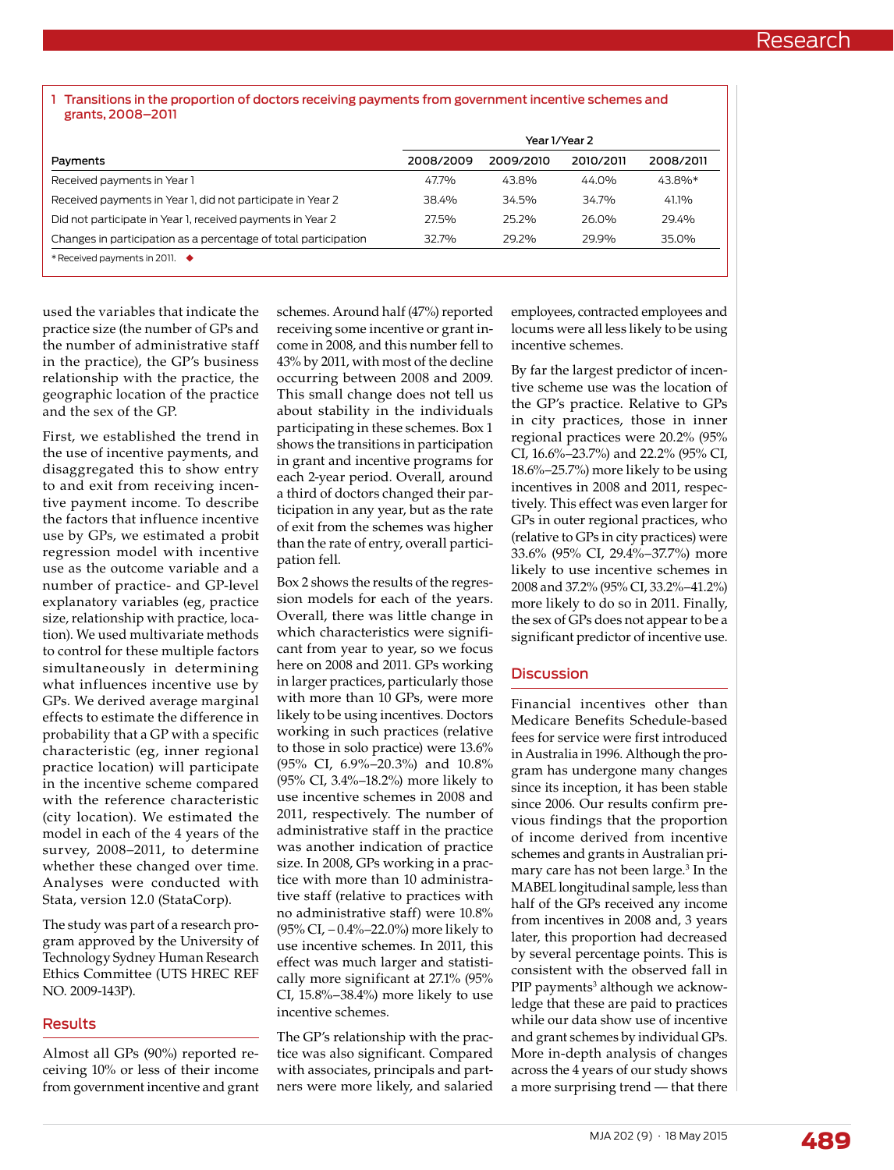### 1 Transitions in the proportion of doctors receiving payments from government incentive schemes and grants, 2008–2011

|                                                                 | Year 1/Year 2 |           |           |           |
|-----------------------------------------------------------------|---------------|-----------|-----------|-----------|
| Payments                                                        | 2008/2009     | 2009/2010 | 2010/2011 | 2008/2011 |
| Received payments in Year 1                                     | 47.7%         | 43.8%     | 44.0%     | $43.8\%*$ |
| Received payments in Year 1, did not participate in Year 2      | 38.4%         | 34.5%     | 34.7%     | 41.1%     |
| Did not participate in Year 1, received payments in Year 2      | 27.5%         | 25.2%     | 26.0%     | 29.4%     |
| Changes in participation as a percentage of total participation | 32.7%         | 29.2%     | 29.9%     | 35.0%     |
| * Received payments in 2011. ♦                                  |               |           |           |           |

used the variables that indicate the practice size (the number of GPs and the number of administrative staff in the practice), the GP's business relationship with the practice, the geographic location of the practice and the sex of the GP.

First, we established the trend in the use of incentive payments, and disaggregated this to show entry to and exit from receiving incentive payment income. To describe the factors that influence incentive use by GPs, we estimated a probit regression model with incentive use as the outcome variable and a number of practice- and GP-level explanatory variables (eg, practice size, relationship with practice, location). We used multivariate methods to control for these multiple factors simultaneously in determining what influences incentive use by GPs. We derived average marginal effects to estimate the difference in probability that a GP with a specific characteristic (eg, inner regional practice location) will participate in the incentive scheme compared with the reference characteristic (city location). We estimated the model in each of the 4 years of the survey, 2008–2011, to determine whether these changed over time. Analyses were conducted with Stata, version 12.0 (StataCorp).

The study was part of a research program approved by the University of Technology Sydney Human Research Ethics Committee (UTS HREC REF NO. 2009-143P).

## Results

Almost all GPs (90%) reported receiving 10% or less of their income from government incentive and grant schemes. Around half (47%) reported receiving some incentive or grant income in 2008, and this number fell to 43% by 2011, with most of the decline occurring between 2008 and 2009. This small change does not tell us about stability in the individuals participating in these schemes. Box 1 shows the transitions in participation in grant and incentive programs for each 2-year period. Overall, around a third of doctors changed their participation in any year, but as the rate of exit from the schemes was higher than the rate of entry, overall participation fell.

Box 2 shows the results of the regression models for each of the years. Overall, there was little change in which characteristics were significant from year to year, so we focus here on 2008 and 2011. GPs working in larger practices, particularly those with more than 10 GPs, were more likely to be using incentives. Doctors working in such practices (relative to those in solo practice) were 13.6% (95% CI, 6.9%–20.3%) and 10.8% (95% CI, 3.4%–18.2%) more likely to use incentive schemes in 2008 and 2011, respectively. The number of administrative staff in the practice was another indication of practice size. In 2008, GPs working in a practice with more than 10 administrative staff (relative to practices with no administrative staff) were 10.8% (95% CI, − 0.4%–22.0%) more likely to use incentive schemes. In 2011, this effect was much larger and statistically more significant at 27.1% (95% CI, 15.8%–38.4%) more likely to use incentive schemes.

The GP's relationship with the practice was also significant. Compared with associates, principals and partners were more likely, and salaried

employees, contracted employees and locums were all less likely to be using incentive schemes.

By far the largest predictor of incentive scheme use was the location of the GP's practice. Relative to GPs in city practices, those in inner regional practices were 20.2% (95% CI, 16.6%–23.7%) and 22.2% (95% CI, 18.6%–25.7%) more likely to be using incentives in 2008 and 2011, respectively. This effect was even larger for GPs in outer regional practices, who (relative to GPs in city practices) were 33.6% (95% CI, 29.4%–37.7%) more likely to use incentive schemes in 2008 and 37.2% (95% CI, 33.2%–41.2%) more likely to do so in 2011. Finally, the sex of GPs does not appear to be a significant predictor of incentive use.

## **Discussion**

Financial incentives other than Medicare Benefits Schedule-based fees for service were first introduced in Australia in 1996. Although the program has undergone many changes since its inception, it has been stable since 2006. Our results confirm previous findings that the proportion of income derived from incentive schemes and grants in Australian primary care has not been large.3 In the MABEL longitudinal sample, less than half of the GPs received any income from incentives in 2008 and, 3 years later, this proportion had decreased by several percentage points. This is consistent with the observed fall in PIP payments<sup>3</sup> although we acknowledge that these are paid to practices while our data show use of incentive and grant schemes by individual GPs. More in-depth analysis of changes across the 4 years of our study shows a more surprising trend — that there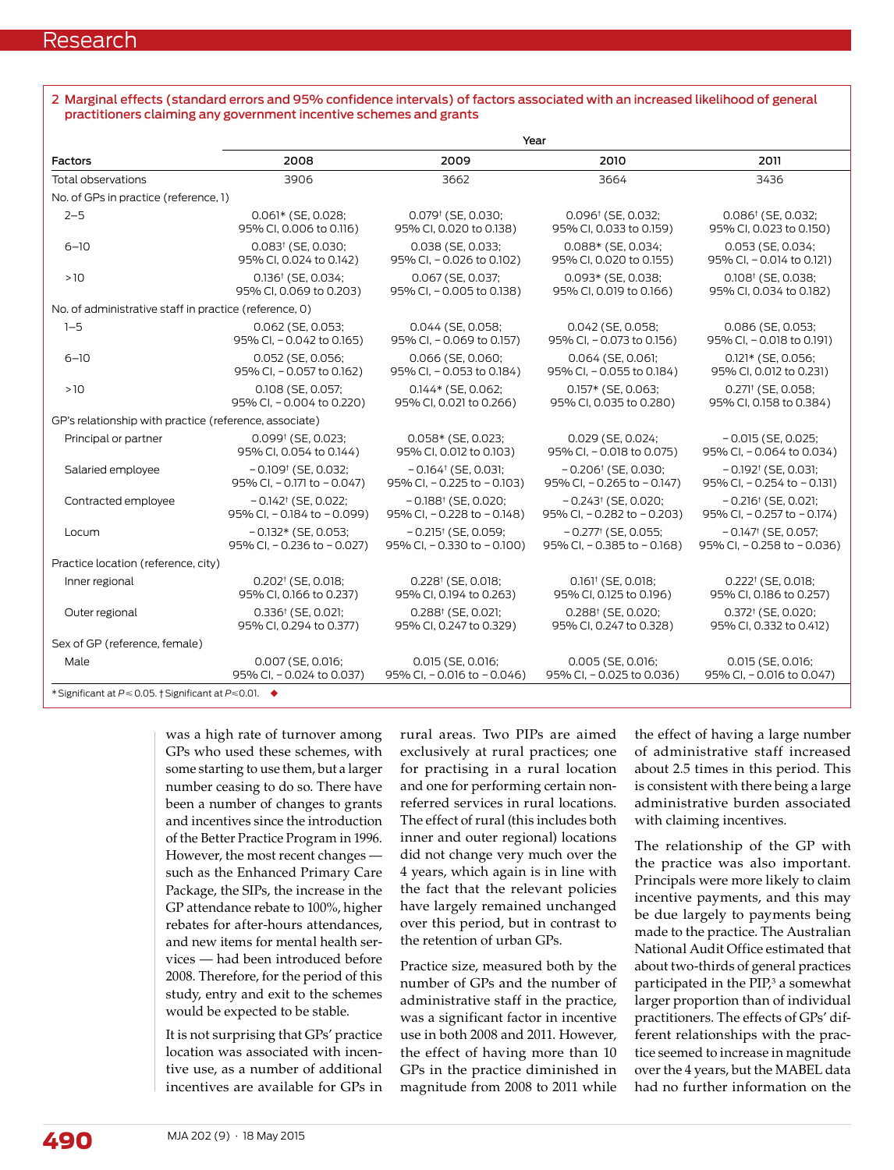|                                                        |                                   |                                   | Year                              |                                   |  |
|--------------------------------------------------------|-----------------------------------|-----------------------------------|-----------------------------------|-----------------------------------|--|
| <b>Factors</b>                                         | 2008                              | 2009                              | 2010                              | 2011                              |  |
| Total observations                                     | 3906                              | 3662                              | 3664                              | 3436                              |  |
| No. of GPs in practice (reference, 1)                  |                                   |                                   |                                   |                                   |  |
| $2 - 5$                                                | $0.061*$ (SE, 0.028;              | 0.079 <sup>t</sup> (SE, 0.030:    | 0.096 <sup>†</sup> (SE, 0.032;    | $0.086$ <sup>†</sup> (SE, 0.032;  |  |
|                                                        | 95% CI, 0.006 to 0.116)           | 95% CI, 0.020 to 0.138)           | 95% CI, 0.033 to 0.159)           | 95% CI, 0.023 to 0.150)           |  |
| $6 - 10$                                               | $0.083$ <sup>†</sup> (SE, 0.030;  | 0.038 (SE, 0.033;                 | $0.088*$ (SE, 0.034;              | 0.053 (SE, 0.034;                 |  |
|                                                        | 95% CI, 0.024 to 0.142)           | 95% CI, - 0.026 to 0.102)         | 95% CI, 0.020 to 0.155)           | 95% CI, - 0.014 to 0.121)         |  |
| >10                                                    | 0.136 <sup>†</sup> (SE, 0.034;    | 0.067 (SE, 0.037;                 | $0.093*$ (SE, 0.038;              | $0.108$ <sup>†</sup> (SE, 0.038;  |  |
|                                                        | 95% CI, 0.069 to 0.203)           | 95% Cl, - 0.005 to 0.138)         | 95% CI, 0.019 to 0.166)           | 95% CI, 0.034 to 0.182)           |  |
| No. of administrative staff in practice (reference, 0) |                                   |                                   |                                   |                                   |  |
| $1 - 5$                                                | $0.062$ (SE, $0.053$ ;            | 0.044 (SE, 0.058;                 | 0.042 (SE, 0.058;                 | 0.086 (SE, 0.053;                 |  |
|                                                        | 95% CI, - 0.042 to 0.165)         | 95% CI, - 0.069 to 0.157)         | 95% CI, - 0.073 to 0.156)         | 95% Cl. - 0.018 to 0.191)         |  |
| $6 - 10$                                               | 0.052 (SE, 0.056:                 | 0.066 (SE, 0.060;                 | $0.064$ (SE, $0.061$ ;            | $0.121*$ (SE, 0.056;              |  |
|                                                        | 95% Cl, - 0.057 to 0.162)         | 95% CI, - 0.053 to 0.184)         | 95% CI, - 0.055 to 0.184)         | 95% CI, 0.012 to 0.231)           |  |
| >10                                                    | 0.108 (SE, 0.057;                 | $0.144*$ (SE, 0.062;              | $0.157*$ (SE, 0.063;              | 0.271 <sup>t</sup> (SE, 0.058;    |  |
|                                                        | 95% Cl, - 0.004 to 0.220)         | 95% CI, 0.021 to 0.266)           | 95% CI, 0.035 to 0.280)           | 95% CI, 0.158 to 0.384)           |  |
| GP's relationship with practice (reference, associate) |                                   |                                   |                                   |                                   |  |
| Principal or partner                                   | $0.099†$ (SE, 0.023;              | $0.058*$ (SE, 0.023;              | 0.029 (SE, 0.024;                 | $-0.015$ (SE, 0.025;              |  |
|                                                        | 95% CI, 0.054 to 0.144)           | 95% CI, 0.012 to 0.103)           | 95% CI, - 0.018 to 0.075)         | 95% Cl, - 0.064 to 0.034)         |  |
| Salaried employee                                      | $-0.109$ <sup>t</sup> (SE, 0.032: | $-0.164$ <sup>†</sup> (SE, 0.031; | $-0.206$ <sup>†</sup> (SE, 0.030; | $-0.192$ <sup>†</sup> (SE, 0.031; |  |
|                                                        | 95% CI, - 0.171 to - 0.047)       | 95% Cl, - 0.225 to - 0.103)       | 95% Cl, - 0.265 to - 0.147)       | 95% CI, - 0.254 to - 0.131)       |  |
| Contracted employee                                    | $-0.142$ <sup>†</sup> (SE, 0.022; | $-0.188$ <sup>†</sup> (SE, 0.020; | $-0.243$ <sup>†</sup> (SE, 0.020; | $-0.216$ <sup>†</sup> (SE, 0.021; |  |
|                                                        | 95% CI, - 0.184 to - 0.099)       | 95% CI, - 0.228 to - 0.148)       | 95% CI, - 0.282 to - 0.203)       | 95% CI, - 0.257 to - 0.174)       |  |
| Locum                                                  | $-0.132*(SE, 0.053)$              | $-0.215$ <sup>†</sup> (SE, 0.059; | $-0.277$ <sup>†</sup> (SE, 0.055; | $-0.147$ <sup>†</sup> (SE, 0.057; |  |
|                                                        | 95% CI, - 0.236 to - 0.027)       | 95% CI, - 0.330 to - 0.100)       | 95% Cl, - 0.385 to - 0.168)       | 95% Cl, - 0.258 to - 0.036)       |  |
| Practice location (reference, city)                    |                                   |                                   |                                   |                                   |  |
| Inner regional                                         | 0.202 <sup>†</sup> (SE, 0.018;    | 0.228 <sup>t</sup> (SE, 0.018;    | $0.161$ <sup>†</sup> (SE, 0.018;  | 0.222 <sup>†</sup> (SE, 0.018;    |  |
|                                                        | 95% CI, 0.166 to 0.237)           | 95% CI, 0.194 to 0.263)           | 95% CI, 0.125 to 0.196)           | 95% CI, 0.186 to 0.257)           |  |
| Outer regional                                         | $0.336$ <sup>†</sup> (SE, 0.021;  | $0.288^{\dagger}$ (SE, 0.021;     | $0.288†$ (SE, 0.020;              | $0.372^{\dagger}$ (SE, 0.020;     |  |
|                                                        | 95% CI, 0.294 to 0.377)           | 95% CI, 0.247 to 0.329)           | 95% CI, 0.247 to 0.328)           | 95% CI, 0.332 to 0.412)           |  |
| Sex of GP (reference, female)                          |                                   |                                   |                                   |                                   |  |
| Male                                                   | 0.007 (SE, 0.016;                 | $0.015$ (SE, $0.016$ ;            | 0.005 (SE, 0.016;                 | 0.015 (SE, 0.016;                 |  |
|                                                        | 95% CI, - 0.024 to 0.037)         | 95% Cl, - 0.016 to - 0.046)       | 95% CI, - 0.025 to 0.036)         | 95% CI, - 0.016 to 0.047)         |  |

2 Marginal effects (standard errors and 95% confidence intervals) of factors associated with an increased likelihood of general

\* Significant at *P* ≤ 0.05. † Significant at *P* ≤ 0.01. ♦

was a high rate of turnover among GPs who used these schemes, with some starting to use them, but a larger number ceasing to do so. There have been a number of changes to grants and incentives since the introduction of the Better Practice Program in 1996. However, the most recent changes such as the Enhanced Primary Care Package, the SIPs, the increase in the GP attendance rebate to 100%, higher rebates for after-hours attendances, and new items for mental health services — had been introduced before 2008. Therefore, for the period of this study, entry and exit to the schemes would be expected to be stable.

It is not surprising that GPs' practice location was associated with incentive use, as a number of additional incentives are available for GPs in

rural areas. Two PIPs are aimed exclusively at rural practices; one for practising in a rural location and one for performing certain nonreferred services in rural locations. The effect of rural (this includes both inner and outer regional) locations did not change very much over the 4 years, which again is in line with the fact that the relevant policies have largely remained unchanged over this period, but in contrast to the retention of urban GPs.

Practice size, measured both by the number of GPs and the number of administrative staff in the practice, was a significant factor in incentive use in both 2008 and 2011. However, the effect of having more than 10 GPs in the practice diminished in magnitude from 2008 to 2011 while

the effect of having a large number of administrative staff increased about 2.5 times in this period. This is consistent with there being a large administrative burden associated with claiming incentives.

The relationship of the GP with the practice was also important. Principals were more likely to claim incentive payments, and this may be due largely to payments being made to the practice. The Australian National Audit Office estimated that about two-thirds of general practices participated in the PIP,<sup>3</sup> a somewhat larger proportion than of individual practitioners. The effects of GPs' different relationships with the practice seemed to increase in magnitude over the 4 years, but the MABEL data had no further information on the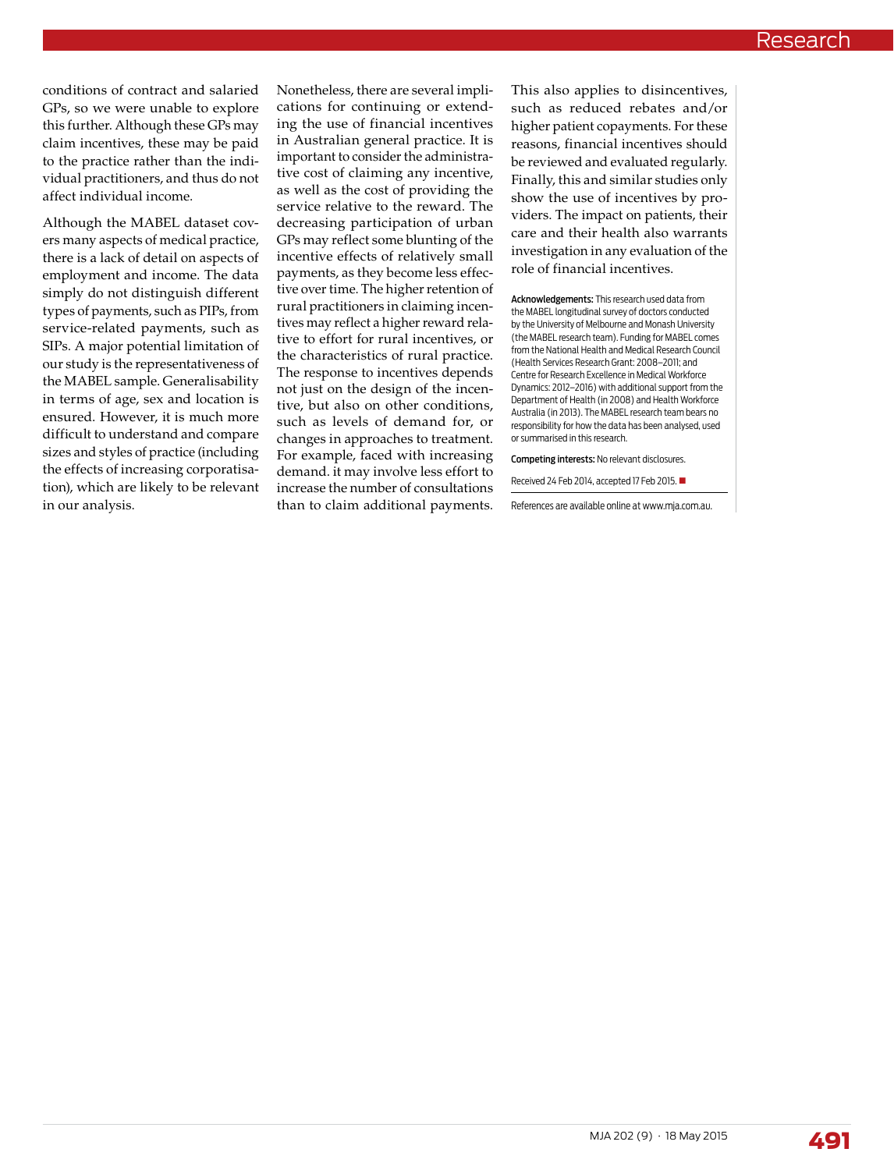conditions of contract and salaried GPs, so we were unable to explore this further. Although these GPs may claim incentives, these may be paid to the practice rather than the individual practitioners, and thus do not affect individual income.

Although the MABEL dataset covers many aspects of medical practice, there is a lack of detail on aspects of employment and income. The data simply do not distinguish different types of payments, such as PIPs, from service-related payments, such as SIPs. A major potential limitation of our study is the representativeness of the MABEL sample. Generalisability in terms of age, sex and location is ensured. However, it is much more difficult to understand and compare sizes and styles of practice (including the effects of increasing corporatisation), which are likely to be relevant in our analysis.

Nonetheless, there are several implications for continuing or extending the use of financial incentives in Australian general practice. It is important to consider the administrative cost of claiming any incentive, as well as the cost of providing the service relative to the reward. The decreasing participation of urban GPs may reflect some blunting of the incentive effects of relatively small payments, as they become less effective over time. The higher retention of rural practitioners in claiming incentives may reflect a higher reward relative to effort for rural incentives, or the characteristics of rural practice. The response to incentives depends not just on the design of the incentive, but also on other conditions, such as levels of demand for, or changes in approaches to treatment. For example, faced with increasing demand. it may involve less effort to increase the number of consultations than to claim additional payments.

This also applies to disincentives, such as reduced rebates and/or higher patient copayments. For these reasons, financial incentives should be reviewed and evaluated regularly. Finally, this and similar studies only show the use of incentives by providers. The impact on patients, their care and their health also warrants investigation in any evaluation of the role of financial incentives.

Acknowledgements: This research used data from the MABEL longitudinal survey of doctors conducted by the University of Melbourne and Monash University (the MABEL research team). Funding for MABEL comes from the National Health and Medical Research Council (Health Services Research Grant: 2008–2011; and Centre for Research Excellence in Medical Workforce Dynamics: 2012–2016) with additional support from the Department of Health (in 2008) and Health Workforce Australia (in 2013). The MABEL research team bears no responsibility for how the data has been analysed, used or summarised in this research.

Competing interests: No relevant disclosures.

Received 24 Feb 2014, accepted 17 Feb 2015.

References are available online at www.mja.com.au.